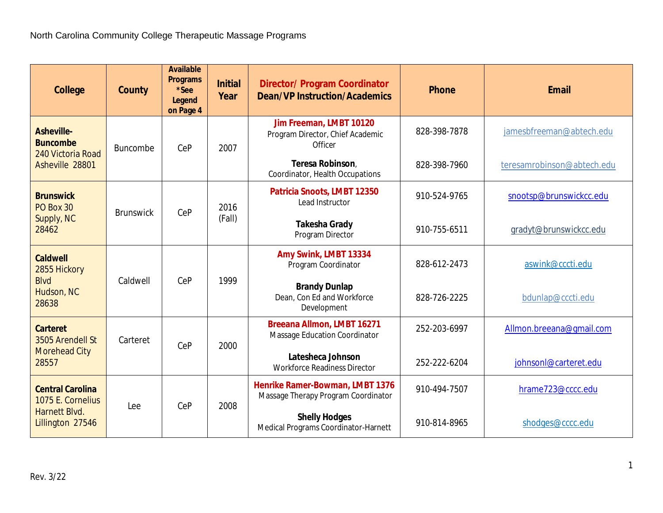| <b>College</b>                                                                    | <b>County</b>    | <b>Available</b><br><b>Programs</b><br>*See<br><b>Legend</b><br>on Page 4 | <b>Initial</b><br>Year | <b>Director/ Program Coordinator</b><br><b>Dean/VP Instruction/Academics</b> | <b>Phone</b> | <b>Email</b>               |
|-----------------------------------------------------------------------------------|------------------|---------------------------------------------------------------------------|------------------------|------------------------------------------------------------------------------|--------------|----------------------------|
| <b>Asheville-</b><br><b>Buncombe</b><br>240 Victoria Road<br>Asheville 28801      | <b>Buncombe</b>  | CeP                                                                       | 2007                   | Jim Freeman, LMBT 10120<br>Program Director, Chief Academic<br>Officer       | 828-398-7878 | jamesbfreeman@abtech.edu   |
|                                                                                   |                  |                                                                           |                        | Teresa Robinson,<br>Coordinator, Health Occupations                          | 828-398-7960 | teresamrobinson@abtech.edu |
| <b>Brunswick</b><br>PO Box 30<br>Supply, NC<br>28462                              | <b>Brunswick</b> | CeP                                                                       | 2016<br>(Fall)         | Patricia Snoots, LMBT 12350<br>Lead Instructor                               | 910-524-9765 | snootsp@brunswickcc.edu    |
|                                                                                   |                  |                                                                           |                        | <b>Takesha Grady</b><br>Program Director                                     | 910-755-6511 | gradyt@brunswickcc.edu     |
| <b>Caldwell</b><br>2855 Hickory<br><b>Blvd</b><br>Hudson, NC<br>28638             | Caldwell         | CeP                                                                       | 1999                   | Amy Swink, LMBT 13334<br>Program Coordinator                                 | 828-612-2473 | aswink@cccti.edu           |
|                                                                                   |                  |                                                                           |                        | <b>Brandy Dunlap</b><br>Dean, Con Ed and Workforce<br>Development            | 828-726-2225 | bdunlap@cccti.edu          |
| <b>Carteret</b><br>3505 Arendell St<br><b>Morehead City</b><br>28557              | Carteret         | CeP                                                                       | 2000                   | <b>Breeana Allmon, LMBT 16271</b><br>Massage Education Coordinator           | 252-203-6997 | Allmon.breeana@gmail.com   |
|                                                                                   |                  |                                                                           |                        | Latesheca Johnson<br><b>Workforce Readiness Director</b>                     | 252-222-6204 | johnsonl@carteret.edu      |
| <b>Central Carolina</b><br>1075 E. Cornelius<br>Harnett Blvd.<br>Lillington 27546 | Lee              | CeP                                                                       | 2008                   | Henrike Ramer-Bowman, LMBT 1376<br>Massage Therapy Program Coordinator       | 910-494-7507 | hrame723@cccc.edu          |
|                                                                                   |                  |                                                                           |                        | <b>Shelly Hodges</b><br>Medical Programs Coordinator-Harnett                 | 910-814-8965 | shodges@cccc.edu           |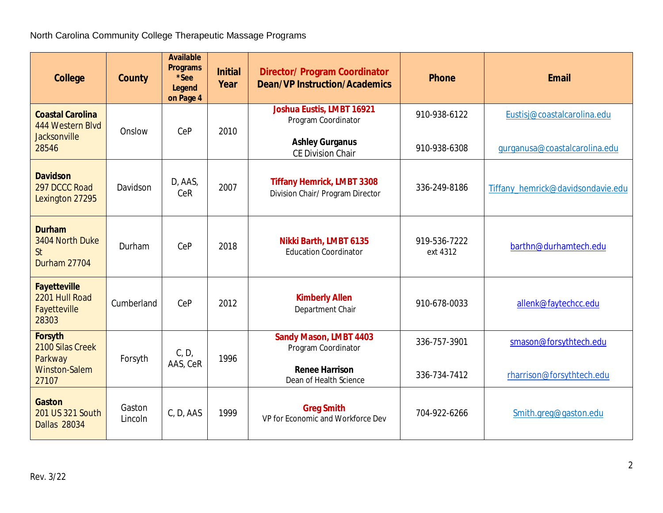| <b>College</b>                                                       | <b>County</b>     | <b>Available</b><br><b>Programs</b><br>*See<br><b>Legend</b><br>on Page 4 | <b>Initial</b><br>Year | <b>Director/ Program Coordinator</b><br><b>Dean/VP Instruction/Academics</b>      | <b>Phone</b>             | <b>Email</b>                      |
|----------------------------------------------------------------------|-------------------|---------------------------------------------------------------------------|------------------------|-----------------------------------------------------------------------------------|--------------------------|-----------------------------------|
| <b>Coastal Carolina</b><br>444 Western Blvd<br><b>Jacksonville</b>   | Onslow            | CeP                                                                       | 2010                   | <b>Joshua Eustis, LMBT 16921</b><br>Program Coordinator<br><b>Ashley Gurganus</b> | 910-938-6122             | Eustisj@coastalcarolina.edu       |
| 28546                                                                |                   |                                                                           |                        | <b>CE Division Chair</b>                                                          | 910-938-6308             | qurqanusa@coastalcarolina.edu     |
| <b>Davidson</b><br>297 DCCC Road<br>Lexington 27295                  | Davidson          | D, AAS,<br>CeR                                                            | 2007                   | <b>Tiffany Hemrick, LMBT 3308</b><br>Division Chair/ Program Director             | 336-249-8186             | Tiffany_hemrick@davidsondavie.edu |
| <b>Durham</b><br>3404 North Duke<br><b>St</b><br><b>Durham 27704</b> | Durham            | CeP                                                                       | 2018                   | Nikki Barth, LMBT 6135<br><b>Education Coordinator</b>                            | 919-536-7222<br>ext 4312 | barthn@durhamtech.edu             |
| <b>Fayetteville</b><br>2201 Hull Road<br>Fayetteville<br>28303       | Cumberland        | CeP                                                                       | 2012                   | <b>Kimberly Allen</b><br>Department Chair                                         | 910-678-0033             | allenk@faytechcc.edu              |
| <b>Forsyth</b><br>2100 Silas Creek<br>Parkway                        | Forsyth           | C, D,<br>AAS, CeR                                                         | 1996                   | <b>Sandy Mason, LMBT 4403</b><br>Program Coordinator                              | 336-757-3901             | smason@forsythtech.edu            |
| <b>Winston-Salem</b><br>27107                                        |                   |                                                                           |                        | <b>Renee Harrison</b><br>Dean of Health Science                                   | 336-734-7412             | rharrison@forsythtech.edu         |
| <b>Gaston</b><br>201 US 321 South<br><b>Dallas 28034</b>             | Gaston<br>Lincoln | C, D, AAS                                                                 | 1999                   | <b>Greg Smith</b><br>VP for Economic and Workforce Dev                            | 704-922-6266             | Smith.greg@gaston.edu             |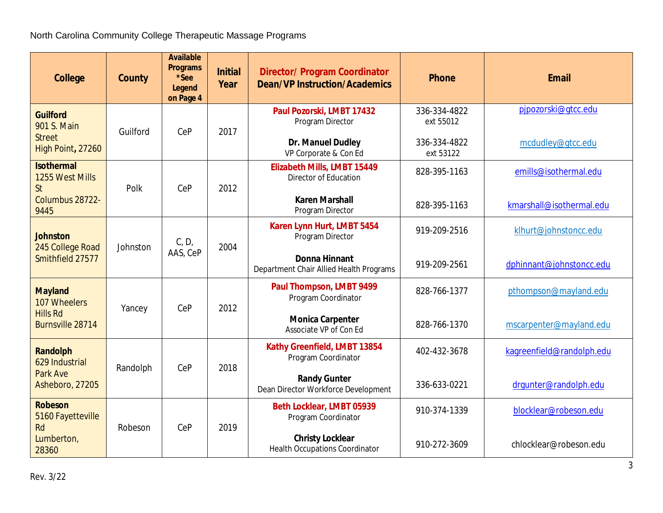| <b>College</b>                                                   | <b>County</b> | <b>Available</b><br><b>Programs</b><br>*See<br><b>Legend</b><br>on Page 4 | <b>Initial</b><br>Year | <b>Director/ Program Coordinator</b><br><b>Dean/VP Instruction/Academics</b> | <b>Phone</b>              | <b>Email</b>              |
|------------------------------------------------------------------|---------------|---------------------------------------------------------------------------|------------------------|------------------------------------------------------------------------------|---------------------------|---------------------------|
| <b>Guilford</b><br>901 S. Main                                   | Guilford      | CeP                                                                       | 2017                   | Paul Pozorski, LMBT 17432<br>Program Director                                | 336-334-4822<br>ext 55012 | pjpozorski@qtcc.edu       |
| <b>Street</b><br>High Point, 27260                               |               |                                                                           |                        | Dr. Manuel Dudley<br>VP Corporate & Con Ed                                   | 336-334-4822<br>ext 53122 | mcdudley@gtcc.edu         |
| <b>Isothermal</b><br>1255 West Mills<br><b>St</b>                | Polk          | CeP                                                                       | 2012                   | <b>Elizabeth Mills, LMBT 15449</b><br><b>Director of Education</b>           | 828-395-1163              | emills@isothermal.edu     |
| Columbus 28722-<br>9445                                          |               |                                                                           |                        | <b>Karen Marshall</b><br>Program Director                                    | 828-395-1163              | kmarshall@isothermal.edu  |
| <b>Johnston</b><br>245 College Road<br>Smithfield 27577          | Johnston      | C, D,<br>AAS, CeP                                                         | 2004                   | Karen Lynn Hurt, LMBT 5454<br>Program Director                               | 919-209-2516              | klhurt@johnstoncc.edu     |
|                                                                  |               |                                                                           |                        | <b>Donna Hinnant</b><br>Department Chair Allied Health Programs              | 919-209-2561              | dphinnant@johnstoncc.edu  |
| <b>Mayland</b><br>107 Wheelers                                   | Yancey        | CeP                                                                       | 2012                   | Paul Thompson, LMBT 9499<br>Program Coordinator                              | 828-766-1377              | pthompson@mayland.edu     |
| <b>Hills Rd</b><br>Burnsville 28714                              |               |                                                                           |                        | <b>Monica Carpenter</b><br>Associate VP of Con Ed                            | 828-766-1370              | mscarpenter@mayland.edu   |
| <b>Randolph</b><br>629 Industrial<br>Park Ave<br>Asheboro, 27205 | Randolph      | CeP                                                                       | 2018                   | Kathy Greenfield, LMBT 13854<br>Program Coordinator                          | 402-432-3678              | kagreenfield@randolph.edu |
|                                                                  |               |                                                                           |                        | <b>Randy Gunter</b><br>Dean Director Workforce Development                   | 336-633-0221              | drqunter@randolph.edu     |
| <b>Robeson</b><br>5160 Fayetteville<br><b>Rd</b>                 | Robeson       | CeP                                                                       | 2019                   | Beth Locklear, LMBT 05939<br>Program Coordinator                             | 910-374-1339              | blocklear@robeson.edu     |
| Lumberton,<br>28360                                              |               |                                                                           |                        | <b>Christy Locklear</b><br><b>Health Occupations Coordinator</b>             | 910-272-3609              | chlocklear@robeson.edu    |